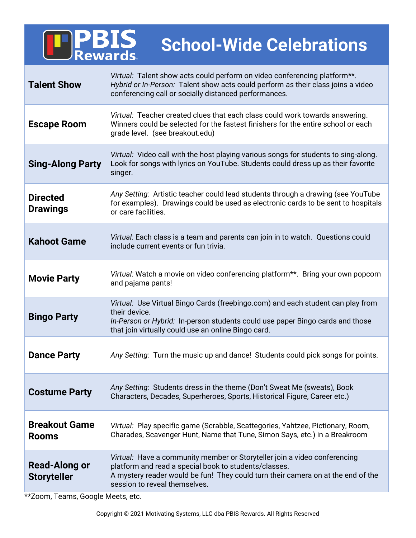| <b>PBIS</b><br><b>School-Wide Celebrations</b> |                                                                                                                                                                                                                                                         |
|------------------------------------------------|---------------------------------------------------------------------------------------------------------------------------------------------------------------------------------------------------------------------------------------------------------|
| <b>Talent Show</b>                             | Virtual: Talent show acts could perform on video conferencing platform**.<br>Hybrid or In-Person: Talent show acts could perform as their class joins a video<br>conferencing call or socially distanced performances.                                  |
| <b>Escape Room</b>                             | Virtual: Teacher created clues that each class could work towards answering.<br>Winners could be selected for the fastest finishers for the entire school or each<br>grade level. (see breakout.edu)                                                    |
| <b>Sing-Along Party</b>                        | Virtual: Video call with the host playing various songs for students to sing-along.<br>Look for songs with lyrics on YouTube. Students could dress up as their favorite<br>singer.                                                                      |
| <b>Directed</b><br><b>Drawings</b>             | Any Setting: Artistic teacher could lead students through a drawing (see YouTube<br>for examples). Drawings could be used as electronic cards to be sent to hospitals<br>or care facilities.                                                            |
| <b>Kahoot Game</b>                             | Virtual: Each class is a team and parents can join in to watch. Questions could<br>include current events or fun trivia.                                                                                                                                |
| <b>Movie Party</b>                             | Virtual: Watch a movie on video conferencing platform**. Bring your own popcorn<br>and pajama pants!                                                                                                                                                    |
| <b>Bingo Party</b>                             | Virtual: Use Virtual Bingo Cards (freebingo.com) and each student can play from<br>their device.<br>In-Person or Hybrid: In-person students could use paper Bingo cards and those<br>that join virtually could use an online Bingo card.                |
| <b>Dance Party</b>                             | Any Setting: Turn the music up and dance! Students could pick songs for points.                                                                                                                                                                         |
| <b>Costume Party</b>                           | Any Setting: Students dress in the theme (Don't Sweat Me (sweats), Book<br>Characters, Decades, Superheroes, Sports, Historical Figure, Career etc.)                                                                                                    |
| <b>Breakout Game</b><br><b>Rooms</b>           | Virtual: Play specific game (Scrabble, Scattegories, Yahtzee, Pictionary, Room,<br>Charades, Scavenger Hunt, Name that Tune, Simon Says, etc.) in a Breakroom                                                                                           |
| <b>Read-Along or</b><br><b>Storyteller</b>     | Virtual: Have a community member or Storyteller join a video conferencing<br>platform and read a special book to students/classes.<br>A mystery reader would be fun! They could turn their camera on at the end of the<br>session to reveal themselves. |

\*\*Zoom, Teams, Google Meets, etc.